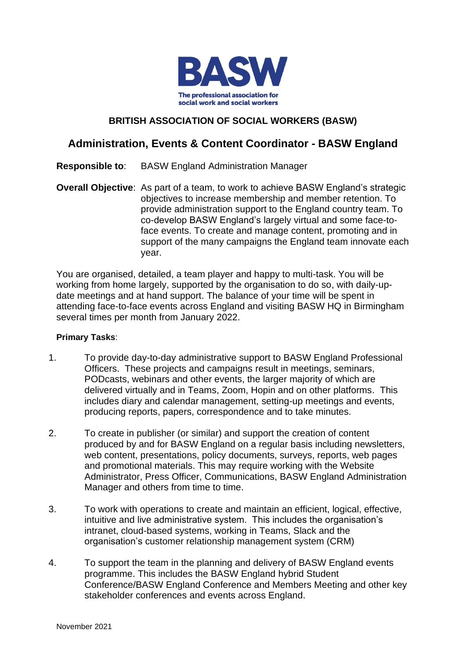

## **BRITISH ASSOCIATION OF SOCIAL WORKERS (BASW)**

## **Administration, Events & Content Coordinator - BASW England**

- **Responsible to**: BASW England Administration Manager
- **Overall Objective:** As part of a team, to work to achieve BASW England's strategic objectives to increase membership and member retention. To provide administration support to the England country team. To co-develop BASW England's largely virtual and some face-toface events. To create and manage content, promoting and in support of the many campaigns the England team innovate each year.

You are organised, detailed, a team player and happy to multi-task. You will be working from home largely, supported by the organisation to do so, with daily-update meetings and at hand support. The balance of your time will be spent in attending face-to-face events across England and visiting BASW HQ in Birmingham several times per month from January 2022.

## **Primary Tasks**:

- 1. To provide day-to-day administrative support to BASW England Professional Officers. These projects and campaigns result in meetings, seminars, PODcasts, webinars and other events, the larger majority of which are delivered virtually and in Teams, Zoom, Hopin and on other platforms. This includes diary and calendar management, setting-up meetings and events, producing reports, papers, correspondence and to take minutes.
- 2. To create in publisher (or similar) and support the creation of content produced by and for BASW England on a regular basis including newsletters, web content, presentations, policy documents, surveys, reports, web pages and promotional materials. This may require working with the Website Administrator, Press Officer, Communications, BASW England Administration Manager and others from time to time.
- 3. To work with operations to create and maintain an efficient, logical, effective, intuitive and live administrative system. This includes the organisation's intranet, cloud-based systems, working in Teams, Slack and the organisation's customer relationship management system (CRM)
- 4. To support the team in the planning and delivery of BASW England events programme. This includes the BASW England hybrid Student Conference/BASW England Conference and Members Meeting and other key stakeholder conferences and events across England.